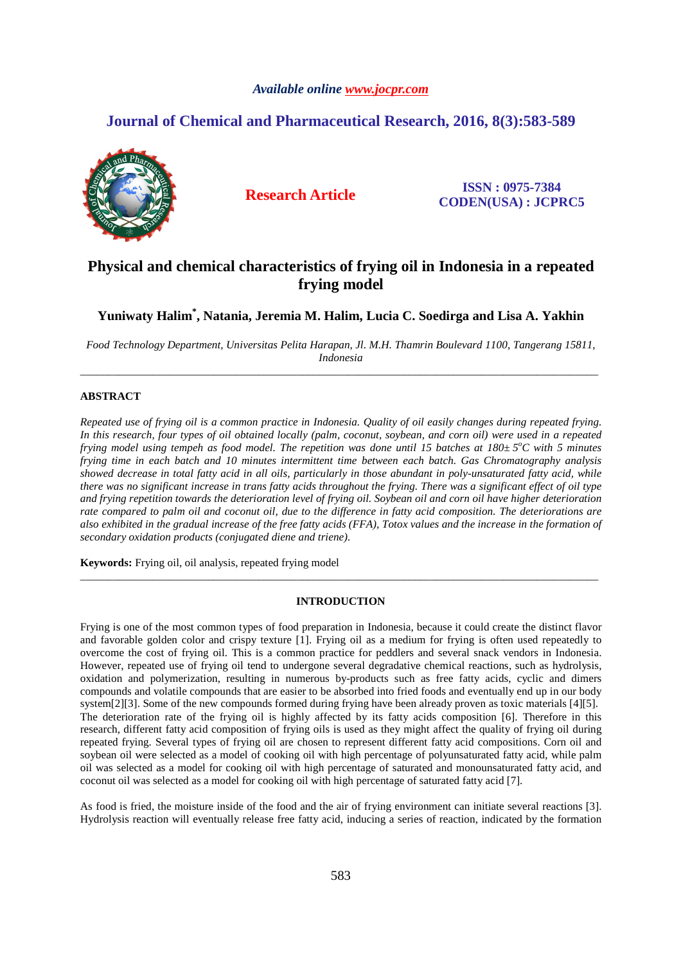# *Available online www.jocpr.com*

# **Journal of Chemical and Pharmaceutical Research, 2016, 8(3):583-589**



**Research Article ISSN : 0975-7384 CODEN(USA) : JCPRC5**

# **Physical and chemical characteristics of frying oil in Indonesia in a repeated frying model**

**Yuniwaty Halim\* , Natania, Jeremia M. Halim, Lucia C. Soedirga and Lisa A. Yakhin**

*Food Technology Department, Universitas Pelita Harapan, Jl. M.H. Thamrin Boulevard 1100, Tangerang 15811, Indonesia*  \_\_\_\_\_\_\_\_\_\_\_\_\_\_\_\_\_\_\_\_\_\_\_\_\_\_\_\_\_\_\_\_\_\_\_\_\_\_\_\_\_\_\_\_\_\_\_\_\_\_\_\_\_\_\_\_\_\_\_\_\_\_\_\_\_\_\_\_\_\_\_\_\_\_\_\_\_\_\_\_\_\_\_\_\_\_\_\_\_\_\_\_\_

# **ABSTRACT**

*Repeated use of frying oil is a common practice in Indonesia. Quality of oil easily changes during repeated frying. In this research, four types of oil obtained locally (palm, coconut, soybean, and corn oil) were used in a repeated frying model using tempeh as food model. The repetition was done until 15 batches at 180±5<sup>°</sup>C with 5 minutes frying time in each batch and 10 minutes intermittent time between each batch. Gas Chromatography analysis showed decrease in total fatty acid in all oils, particularly in those abundant in poly-unsaturated fatty acid, while there was no significant increase in trans fatty acids throughout the frying. There was a significant effect of oil type and frying repetition towards the deterioration level of frying oil. Soybean oil and corn oil have higher deterioration rate compared to palm oil and coconut oil, due to the difference in fatty acid composition. The deteriorations are also exhibited in the gradual increase of the free fatty acids (FFA), Totox values and the increase in the formation of secondary oxidation products (conjugated diene and triene).* 

**Keywords:** Frying oil, oil analysis, repeated frying model

# **INTRODUCTION**

\_\_\_\_\_\_\_\_\_\_\_\_\_\_\_\_\_\_\_\_\_\_\_\_\_\_\_\_\_\_\_\_\_\_\_\_\_\_\_\_\_\_\_\_\_\_\_\_\_\_\_\_\_\_\_\_\_\_\_\_\_\_\_\_\_\_\_\_\_\_\_\_\_\_\_\_\_\_\_\_\_\_\_\_\_\_\_\_\_\_\_\_\_

Frying is one of the most common types of food preparation in Indonesia, because it could create the distinct flavor and favorable golden color and crispy texture [1]. Frying oil as a medium for frying is often used repeatedly to overcome the cost of frying oil. This is a common practice for peddlers and several snack vendors in Indonesia. However, repeated use of frying oil tend to undergone several degradative chemical reactions, such as hydrolysis, oxidation and polymerization, resulting in numerous by-products such as free fatty acids, cyclic and dimers compounds and volatile compounds that are easier to be absorbed into fried foods and eventually end up in our body system[2][3]. Some of the new compounds formed during frying have been already proven as toxic materials [4][5]. The deterioration rate of the frying oil is highly affected by its fatty acids composition [6]. Therefore in this research, different fatty acid composition of frying oils is used as they might affect the quality of frying oil during repeated frying. Several types of frying oil are chosen to represent different fatty acid compositions. Corn oil and soybean oil were selected as a model of cooking oil with high percentage of polyunsaturated fatty acid, while palm oil was selected as a model for cooking oil with high percentage of saturated and monounsaturated fatty acid, and coconut oil was selected as a model for cooking oil with high percentage of saturated fatty acid [7].

As food is fried, the moisture inside of the food and the air of frying environment can initiate several reactions [3]. Hydrolysis reaction will eventually release free fatty acid, inducing a series of reaction, indicated by the formation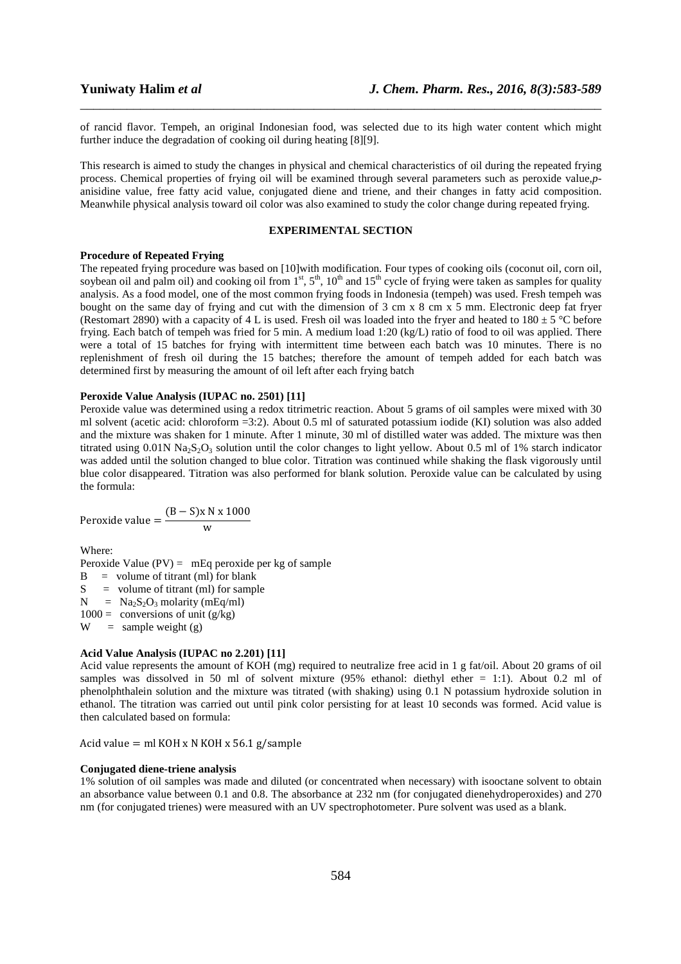of rancid flavor. Tempeh, an original Indonesian food, was selected due to its high water content which might further induce the degradation of cooking oil during heating [8][9].

\_\_\_\_\_\_\_\_\_\_\_\_\_\_\_\_\_\_\_\_\_\_\_\_\_\_\_\_\_\_\_\_\_\_\_\_\_\_\_\_\_\_\_\_\_\_\_\_\_\_\_\_\_\_\_\_\_\_\_\_\_\_\_\_\_\_\_\_\_\_\_\_\_\_\_\_\_\_

This research is aimed to study the changes in physical and chemical characteristics of oil during the repeated frying process. Chemical properties of frying oil will be examined through several parameters such as peroxide value,*p*anisidine value, free fatty acid value, conjugated diene and triene, and their changes in fatty acid composition. Meanwhile physical analysis toward oil color was also examined to study the color change during repeated frying.

# **EXPERIMENTAL SECTION**

### **Procedure of Repeated Frying**

The repeated frying procedure was based on [10]with modification. Four types of cooking oils (coconut oil, corn oil, soybean oil and palm oil) and cooking oil from  $1^{st}$ ,  $5^{th}$ ,  $10^{th}$  and  $15^{th}$  cycle of frying were taken as samples for quality analysis. As a food model, one of the most common frying foods in Indonesia (tempeh) was used. Fresh tempeh was bought on the same day of frying and cut with the dimension of 3 cm x 8 cm x 5 mm. Electronic deep fat fryer (Restomart 2890) with a capacity of 4 L is used. Fresh oil was loaded into the fryer and heated to  $180 \pm 5$  °C before frying. Each batch of tempeh was fried for 5 min. A medium load 1:20 (kg/L) ratio of food to oil was applied. There were a total of 15 batches for frying with intermittent time between each batch was 10 minutes. There is no replenishment of fresh oil during the 15 batches; therefore the amount of tempeh added for each batch was determined first by measuring the amount of oil left after each frying batch

# **Peroxide Value Analysis (IUPAC no. 2501) [11]**

Peroxide value was determined using a redox titrimetric reaction. About 5 grams of oil samples were mixed with 30 ml solvent (acetic acid: chloroform =3:2). About 0.5 ml of saturated potassium iodide (KI) solution was also added and the mixture was shaken for 1 minute. After 1 minute, 30 ml of distilled water was added. The mixture was then titrated using  $0.01N$  Na<sub>2</sub>S<sub>2</sub>O<sub>3</sub> solution until the color changes to light yellow. About 0.5 ml of 1% starch indicator was added until the solution changed to blue color. Titration was continued while shaking the flask vigorously until blue color disappeared. Titration was also performed for blank solution. Peroxide value can be calculated by using the formula:

$$
Peroxide value = \frac{(B - S)x N x 1000}{w}
$$

Where:

Peroxide Value  $(PV) = mEq$  peroxide per kg of sample

 $B =$  volume of titrant (ml) for blank  $S =$  volume of titrant (ml) for sample

 $N = Na<sub>2</sub>S<sub>2</sub>O<sub>3</sub>$  molarity (mEq/ml)

 $1000 =$  conversions of unit (g/kg)

 $W =$  sample weight (g)

# **Acid Value Analysis (IUPAC no 2.201) [11]**

Acid value represents the amount of KOH (mg) required to neutralize free acid in 1 g fat/oil. About 20 grams of oil samples was dissolved in 50 ml of solvent mixture (95% ethanol: diethyl ether = 1:1). About 0.2 ml of phenolphthalein solution and the mixture was titrated (with shaking) using 0.1 N potassium hydroxide solution in ethanol. The titration was carried out until pink color persisting for at least 10 seconds was formed. Acid value is then calculated based on formula:

Acid value = ml KOH x N KOH x 56.1 g/sample

# **Conjugated diene-triene analysis**

1% solution of oil samples was made and diluted (or concentrated when necessary) with isooctane solvent to obtain an absorbance value between 0.1 and 0.8. The absorbance at 232 nm (for conjugated dienehydroperoxides) and 270 nm (for conjugated trienes) were measured with an UV spectrophotometer. Pure solvent was used as a blank.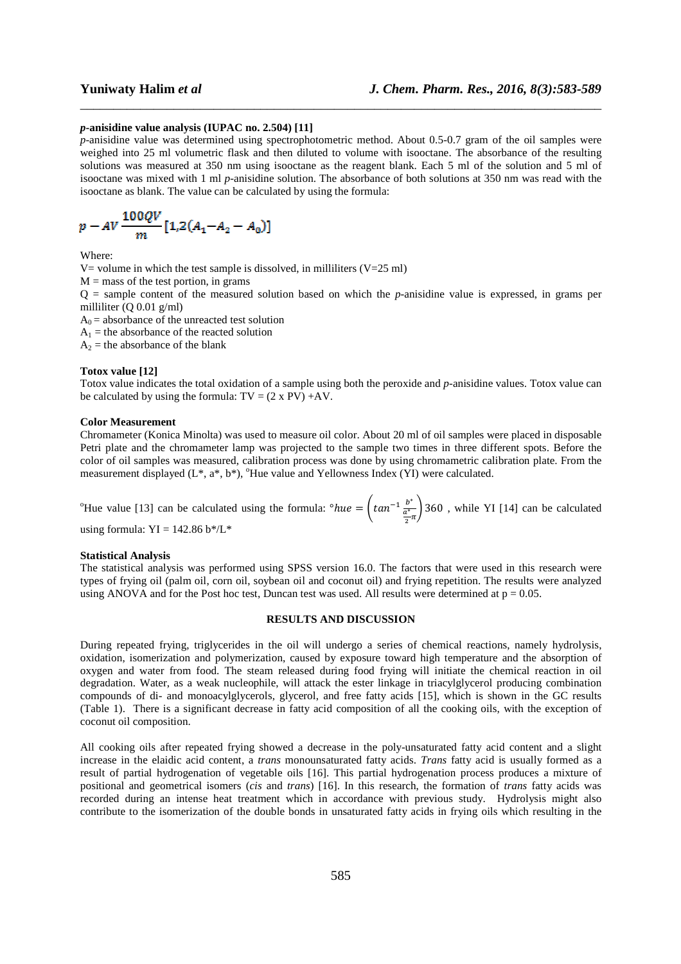### *p***-anisidine value analysis (IUPAC no. 2.504) [11]**

*p*-anisidine value was determined using spectrophotometric method. About 0.5-0.7 gram of the oil samples were weighed into 25 ml volumetric flask and then diluted to volume with isooctane. The absorbance of the resulting solutions was measured at 350 nm using isooctane as the reagent blank. Each 5 ml of the solution and 5 ml of isooctane was mixed with 1 ml *p-*anisidine solution. The absorbance of both solutions at 350 nm was read with the isooctane as blank. The value can be calculated by using the formula:

\_\_\_\_\_\_\_\_\_\_\_\_\_\_\_\_\_\_\_\_\_\_\_\_\_\_\_\_\_\_\_\_\_\_\_\_\_\_\_\_\_\_\_\_\_\_\_\_\_\_\_\_\_\_\_\_\_\_\_\_\_\_\_\_\_\_\_\_\_\_\_\_\_\_\_\_\_\_

$$
p - AV \frac{100QV}{m} [1,2(A_1 - A_2 - A_0)]
$$

Where:

V= volume in which the test sample is dissolved, in milliliters  $(V=25 \text{ ml})$  $M =$  mass of the test portion, in grams Q = sample content of the measured solution based on which the *p-*anisidine value is expressed, in grams per milliliter (Q 0.01 g/ml)  $A_0$  = absorbance of the unreacted test solution  $A_1$  = the absorbance of the reacted solution  $A_2$  = the absorbance of the blank

### **Totox value [12]**

Totox value indicates the total oxidation of a sample using both the peroxide and *p-*anisidine values. Totox value can be calculated by using the formula:  $TV = (2 \times PV) + AV$ .

## **Color Measurement**

Chromameter (Konica Minolta) was used to measure oil color. About 20 ml of oil samples were placed in disposable Petri plate and the chromameter lamp was projected to the sample two times in three different spots. Before the color of oil samples was measured, calibration process was done by using chromametric calibration plate. From the measurement displayed  $(L^*, a^*, b^*)$ , <sup>o</sup>Hue value and Yellowness Index (YI) were calculated.

<sup>o</sup>Hue value [13] can be calculated using the formula:  $\partial hue = \int \tan^{-1} \frac{b^*}{a^*}$  $\frac{\frac{b}{a^*}}{2\pi}$  360, while YI [14] can be calculated using formula:  $YI = 142.86 \frac{b}{L*}$ 

### **Statistical Analysis**

The statistical analysis was performed using SPSS version 16.0. The factors that were used in this research were types of frying oil (palm oil, corn oil, soybean oil and coconut oil) and frying repetition. The results were analyzed using ANOVA and for the Post hoc test, Duncan test was used. All results were determined at  $p = 0.05$ .

### **RESULTS AND DISCUSSION**

During repeated frying, triglycerides in the oil will undergo a series of chemical reactions, namely hydrolysis, oxidation, isomerization and polymerization, caused by exposure toward high temperature and the absorption of oxygen and water from food. The steam released during food frying will initiate the chemical reaction in oil degradation. Water, as a weak nucleophile, will attack the ester linkage in triacylglycerol producing combination compounds of di- and monoacylglycerols, glycerol, and free fatty acids [15], which is shown in the GC results (Table 1). There is a significant decrease in fatty acid composition of all the cooking oils, with the exception of coconut oil composition.

All cooking oils after repeated frying showed a decrease in the poly-unsaturated fatty acid content and a slight increase in the elaidic acid content, a *trans* monounsaturated fatty acids. *Trans* fatty acid is usually formed as a result of partial hydrogenation of vegetable oils [16]. This partial hydrogenation process produces a mixture of positional and geometrical isomers (*cis* and *trans*) [16]. In this research, the formation of *trans* fatty acids was recorded during an intense heat treatment which in accordance with previous study. Hydrolysis might also contribute to the isomerization of the double bonds in unsaturated fatty acids in frying oils which resulting in the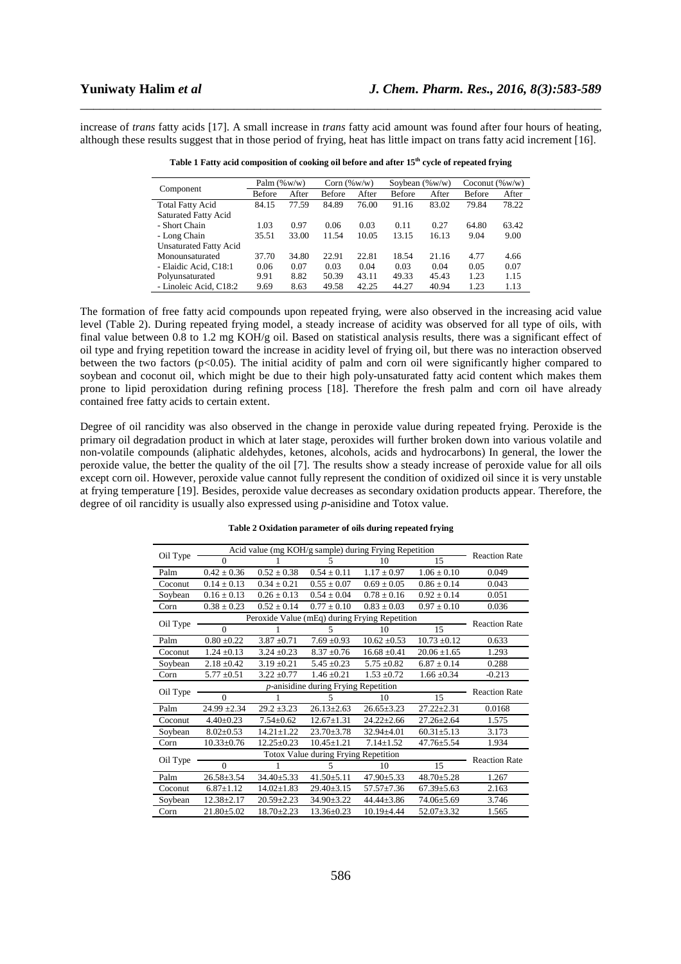increase of *trans* fatty acids [17]. A small increase in *trans* fatty acid amount was found after four hours of heating, although these results suggest that in those period of frying, heat has little impact on trans fatty acid increment [16].

\_\_\_\_\_\_\_\_\_\_\_\_\_\_\_\_\_\_\_\_\_\_\_\_\_\_\_\_\_\_\_\_\_\_\_\_\_\_\_\_\_\_\_\_\_\_\_\_\_\_\_\_\_\_\_\_\_\_\_\_\_\_\_\_\_\_\_\_\_\_\_\_\_\_\_\_\_\_

|                               | Palm $(\% w/w)$ |       | Corn $(\%w/w)$ |       | Soybean $(\%w/w)$ |       | Coconut $(\%w/w)$ |       |
|-------------------------------|-----------------|-------|----------------|-------|-------------------|-------|-------------------|-------|
| Component                     | Before          | After | Before         | After | <b>Before</b>     | After | Before            | After |
| <b>Total Fatty Acid</b>       | 84.15           | 77.59 | 84.89          | 76.00 | 91.16             | 83.02 | 79.84             | 78.22 |
| <b>Saturated Fatty Acid</b>   |                 |       |                |       |                   |       |                   |       |
| - Short Chain                 | 1.03            | 0.97  | 0.06           | 0.03  | 0.11              | 0.27  | 64.80             | 63.42 |
| - Long Chain                  | 35.51           | 33.00 | 11.54          | 10.05 | 13.15             | 16.13 | 9.04              | 9.00  |
| <b>Unsaturated Fatty Acid</b> |                 |       |                |       |                   |       |                   |       |
| Monounsaturated               | 37.70           | 34.80 | 22.91          | 22.81 | 18.54             | 21.16 | 4.77              | 4.66  |
| - Elaidic Acid, C18:1         | 0.06            | 0.07  | 0.03           | 0.04  | 0.03              | 0.04  | 0.05              | 0.07  |
| Polyunsaturated               | 9.91            | 8.82  | 50.39          | 43.11 | 49.33             | 45.43 | 1.23              | 1.15  |
| - Linoleic Acid, C18:2        | 9.69            | 8.63  | 49.58          | 42.25 | 44.27             | 40.94 | 1.23              | 1.13  |

**Table 1 Fatty acid composition of cooking oil before and after 15th cycle of repeated frying** 

The formation of free fatty acid compounds upon repeated frying, were also observed in the increasing acid value level (Table 2). During repeated frying model, a steady increase of acidity was observed for all type of oils, with final value between 0.8 to 1.2 mg KOH/g oil. Based on statistical analysis results, there was a significant effect of oil type and frying repetition toward the increase in acidity level of frying oil, but there was no interaction observed between the two factors (p<0.05). The initial acidity of palm and corn oil were significantly higher compared to soybean and coconut oil, which might be due to their high poly-unsaturated fatty acid content which makes them prone to lipid peroxidation during refining process [18]. Therefore the fresh palm and corn oil have already contained free fatty acids to certain extent.

Degree of oil rancidity was also observed in the change in peroxide value during repeated frying. Peroxide is the primary oil degradation product in which at later stage, peroxides will further broken down into various volatile and non-volatile compounds (aliphatic aldehydes, ketones, alcohols, acids and hydrocarbons) In general, the lower the peroxide value, the better the quality of the oil [7]. The results show a steady increase of peroxide value for all oils except corn oil. However, peroxide value cannot fully represent the condition of oxidized oil since it is very unstable at frying temperature [19]. Besides, peroxide value decreases as secondary oxidation products appear. Therefore, the degree of oil rancidity is usually also expressed using *p*-anisidine and Totox value.

**Table 2 Oxidation parameter of oils during repeated frying** 

| Oil Type | Acid value (mg KOH/g sample) during Frying Repetition |                      |                  |                  |                  |                      |
|----------|-------------------------------------------------------|----------------------|------------------|------------------|------------------|----------------------|
|          | $\Omega$                                              |                      | 5                | 10               | 15               | <b>Reaction Rate</b> |
| Palm     | $0.42 \pm 0.36$                                       | $0.52 \pm 0.38$      | $0.54 \pm 0.11$  | $1.17 \pm 0.97$  | $1.06 \pm 0.10$  | 0.049                |
| Coconut  | $0.14 \pm 0.13$                                       | $0.34 \pm 0.21$      | $0.55 \pm 0.07$  | $0.69 \pm 0.05$  | $0.86 \pm 0.14$  | 0.043                |
| Soybean  | $0.16 + 0.13$                                         | $0.26 + 0.13$        | $0.54 + 0.04$    | $0.78 + 0.16$    | $0.92 + 0.14$    | 0.051                |
| Corn     | $0.38 \pm 0.23$                                       | $0.52 \pm 0.14$      | $0.77 \pm 0.10$  | $0.83 \pm 0.03$  | $0.97 \pm 0.10$  | 0.036                |
| Oil Type | Peroxide Value (mEq) during Frying Repetition         | <b>Reaction Rate</b> |                  |                  |                  |                      |
|          | $\Omega$                                              |                      | 5                | 10               | 15               |                      |
| Palm     | $0.80 + 0.22$                                         | $3.87 + 0.71$        | $7.69 + 0.93$    | $10.62 + 0.53$   | $10.73 + 0.12$   | 0.633                |
| Coconut  | $1.24 \pm 0.13$                                       | $3.24 \pm 0.23$      | $8.37 \pm 0.76$  | $16.68 \pm 0.41$ | $20.06 \pm 1.65$ | 1.293                |
| Soybean  | $2.18 \pm 0.42$                                       | $3.19 \pm 0.21$      | $5.45 \pm 0.23$  | $5.75 \pm 0.82$  | $6.87 \pm 0.14$  | 0.288                |
| Corn     | $5.77 \pm 0.51$                                       | $3.22 \pm 0.77$      | $1.46 + 0.21$    | $1.53 \pm 0.72$  | $1.66 \pm 0.34$  | $-0.213$             |
| Oil Type |                                                       | <b>Reaction Rate</b> |                  |                  |                  |                      |
|          | $\Omega$                                              |                      | 5                | 10               | 15               |                      |
| Palm     | $24.99 \pm 2.34$                                      | $29.2 \pm 3.23$      | $26.13 \pm 2.63$ | $26.65 \pm 3.23$ | $27.22 \pm 2.31$ | 0.0168               |
| Coconut  | $4.40 \pm 0.23$                                       | $7.54 \pm 0.62$      | $12.67 + 1.31$   | $24.22 + 2.66$   | $27.26 + 2.64$   | 1.575                |
| Soybean  | $8.02 \pm 0.53$                                       | $14.21 \pm 1.22$     | $23.70 \pm 3.78$ | $32.94 \pm 4.01$ | $60.31 \pm 5.13$ | 3.173                |
| Corn     | $10.33 \pm 0.76$                                      | $12.25 + 0.23$       | $10.45 + 1.21$   | $7.14 \pm 1.52$  | $47.76 + 5.54$   | 1.934                |
| Oil Type |                                                       | <b>Reaction Rate</b> |                  |                  |                  |                      |
|          | $\Omega$                                              |                      | 5                | 10               | 15               |                      |
| Palm     | $26.58 \pm 3.54$                                      | $34.40 \pm 5.33$     | $41.50 \pm 5.11$ | $47.90 \pm 5.33$ | $48.70 \pm 5.28$ | 1.267                |
| Coconut  | $6.87 \pm 1.12$                                       | $14.02 \pm 1.83$     | $29.40 \pm 3.15$ | $57.57 \pm 7.36$ | $67.39 + 5.63$   | 2.163                |
| Soybean  | $12.38 \pm 2.17$                                      | $20.59 \pm 2.23$     | 34.90±3.22       | $44.44 \pm 3.86$ | $74.06 \pm 5.69$ | 3.746                |
| Corn     | $21.80 \pm 5.02$                                      | $18.70 \pm 2.23$     | $13.36 \pm 0.23$ | $10.19{\pm}4.44$ | $52.07 \pm 3.32$ | 1.565                |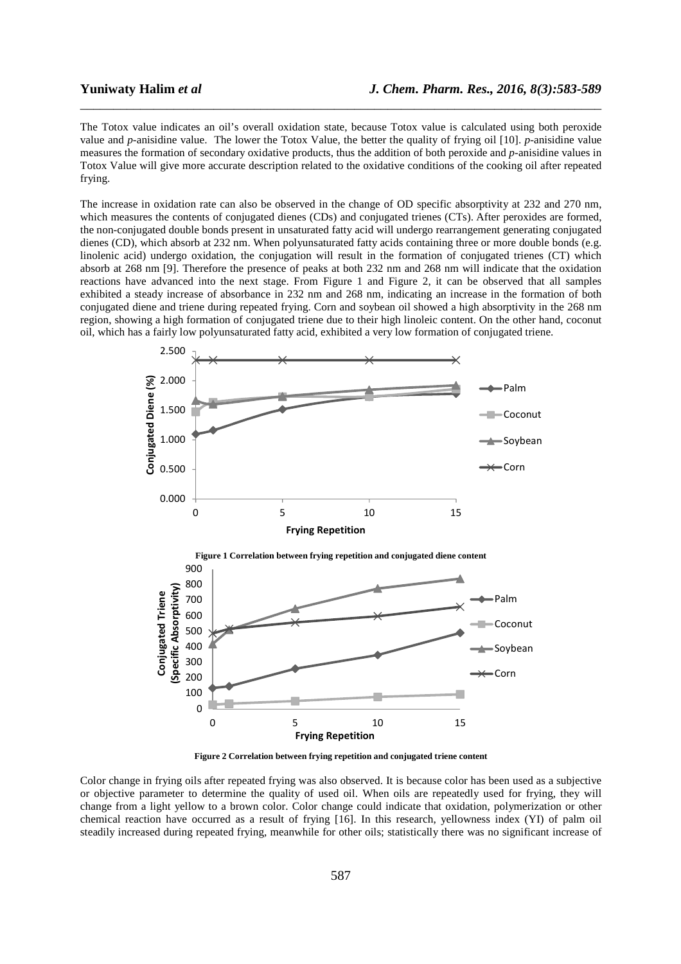The Totox value indicates an oil's overall oxidation state, because Totox value is calculated using both peroxide value and *p-*anisidine value. The lower the Totox Value, the better the quality of frying oil [10]. *p*-anisidine value measures the formation of secondary oxidative products, thus the addition of both peroxide and *p*-anisidine values in Totox Value will give more accurate description related to the oxidative conditions of the cooking oil after repeated frying.

\_\_\_\_\_\_\_\_\_\_\_\_\_\_\_\_\_\_\_\_\_\_\_\_\_\_\_\_\_\_\_\_\_\_\_\_\_\_\_\_\_\_\_\_\_\_\_\_\_\_\_\_\_\_\_\_\_\_\_\_\_\_\_\_\_\_\_\_\_\_\_\_\_\_\_\_\_\_

The increase in oxidation rate can also be observed in the change of OD specific absorptivity at 232 and 270 nm, which measures the contents of conjugated dienes (CDs) and conjugated trienes (CTs). After peroxides are formed, the non-conjugated double bonds present in unsaturated fatty acid will undergo rearrangement generating conjugated dienes (CD), which absorb at 232 nm. When polyunsaturated fatty acids containing three or more double bonds (e.g. linolenic acid) undergo oxidation, the conjugation will result in the formation of conjugated trienes (CT) which absorb at 268 nm [9]. Therefore the presence of peaks at both 232 nm and 268 nm will indicate that the oxidation reactions have advanced into the next stage. From Figure 1 and Figure 2, it can be observed that all samples exhibited a steady increase of absorbance in 232 nm and 268 nm, indicating an increase in the formation of both conjugated diene and triene during repeated frying. Corn and soybean oil showed a high absorptivity in the 268 nm region, showing a high formation of conjugated triene due to their high linoleic content. On the other hand, coconut oil, which has a fairly low polyunsaturated fatty acid, exhibited a very low formation of conjugated triene.



**Figure 2 Correlation between frying repetition and conjugated triene content** 

Color change in frying oils after repeated frying was also observed. It is because color has been used as a subjective or objective parameter to determine the quality of used oil. When oils are repeatedly used for frying, they will change from a light yellow to a brown color. Color change could indicate that oxidation, polymerization or other chemical reaction have occurred as a result of frying [16]. In this research, yellowness index (YI) of palm oil steadily increased during repeated frying, meanwhile for other oils; statistically there was no significant increase of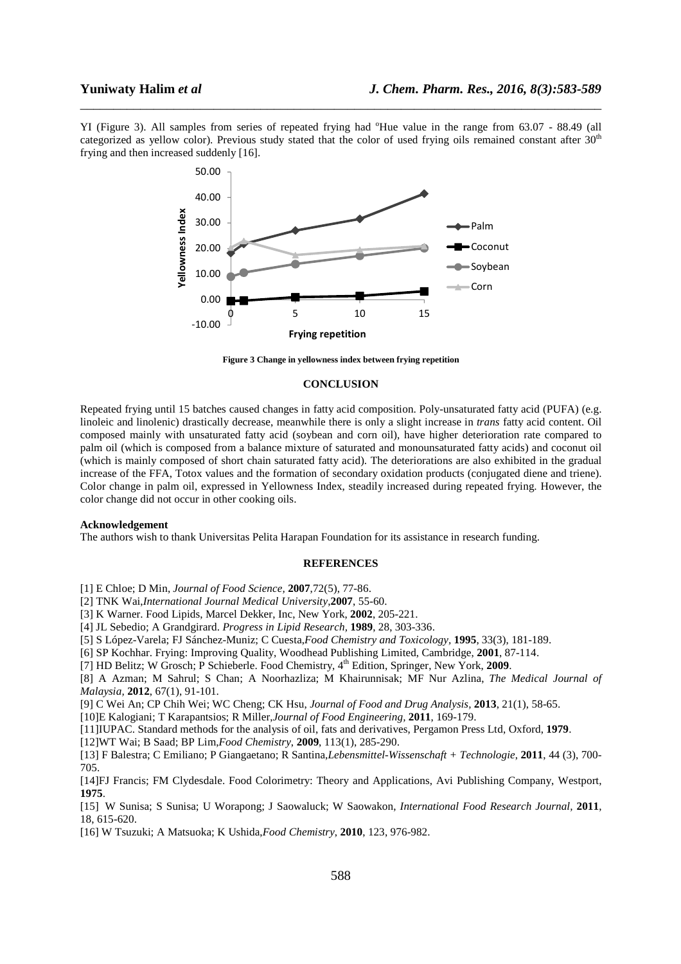YI (Figure 3). All samples from series of repeated frying had <sup>o</sup>Hue value in the range from 63.07 - 88.49 (all categorized as yellow color). Previous study stated that the color of used frying oils remained constant after  $30<sup>th</sup>$ frying and then increased suddenly [16].

\_\_\_\_\_\_\_\_\_\_\_\_\_\_\_\_\_\_\_\_\_\_\_\_\_\_\_\_\_\_\_\_\_\_\_\_\_\_\_\_\_\_\_\_\_\_\_\_\_\_\_\_\_\_\_\_\_\_\_\_\_\_\_\_\_\_\_\_\_\_\_\_\_\_\_\_\_\_



**Figure 3 Change in yellowness index between frying repetition**

## **CONCLUSION**

Repeated frying until 15 batches caused changes in fatty acid composition. Poly-unsaturated fatty acid (PUFA) (e.g. linoleic and linolenic) drastically decrease, meanwhile there is only a slight increase in *trans* fatty acid content. Oil composed mainly with unsaturated fatty acid (soybean and corn oil), have higher deterioration rate compared to palm oil (which is composed from a balance mixture of saturated and monounsaturated fatty acids) and coconut oil (which is mainly composed of short chain saturated fatty acid). The deteriorations are also exhibited in the gradual increase of the FFA, Totox values and the formation of secondary oxidation products (conjugated diene and triene). Color change in palm oil, expressed in Yellowness Index, steadily increased during repeated frying. However, the color change did not occur in other cooking oils.

### **Acknowledgement**

The authors wish to thank Universitas Pelita Harapan Foundation for its assistance in research funding.

### **REFERENCES**

[1] E Chloe; D Min, *Journal of Food Science,* **2007**,72(5), 77-86.

[2] TNK Wai,*International Journal Medical University*,**2007**, 55-60.

[3] K Warner. Food Lipids, Marcel Dekker, Inc, New York, **2002**, 205-221.

[4] JL Sebedio; A Grandgirard. *Progress in Lipid Research,* **1989**, 28, 303-336.

[5] S López-Varela; FJ Sánchez-Muniz; C Cuesta,*Food Chemistry and Toxicology,* **1995**, 33(3), 181-189.

[6] SP Kochhar. Frying: Improving Quality, Woodhead Publishing Limited, Cambridge, **2001**, 87-114.

[7] HD Belitz; W Grosch; P Schieberle. Food Chemistry,  $4<sup>th</sup>$  Edition, Springer, New York, 2009.

[8] A Azman; M Sahrul; S Chan; A Noorhazliza; M Khairunnisak; MF Nur Azlina, *The Medical Journal of Malaysia,* **2012**, 67(1), 91-101.

[9] C Wei An; CP Chih Wei; WC Cheng; CK Hsu, *Journal of Food and Drug Analysis,* **2013**, 21(1), 58-65.

[10]E Kalogiani; T Karapantsios; R Miller,*Journal of Food Engineering,* **2011**, 169-179.

[11]IUPAC. Standard methods for the analysis of oil, fats and derivatives, Pergamon Press Ltd, Oxford, **1979**.

[12]WT Wai; B Saad; BP Lim,*Food Chemistry*, **2009**, 113(1), 285-290.

[13] F Balestra; C Emiliano; P Giangaetano; R Santina,*Lebensmittel-Wissenschaft + Technologie*, **2011**, 44 (3), 700- 705.

[14]FJ Francis; FM Clydesdale. Food Colorimetry: Theory and Applications, Avi Publishing Company, Westport, **1975**.

[15] W Sunisa; S Sunisa; U Worapong; J Saowaluck; W Saowakon, *International Food Research Journal,* **2011**, 18, 615-620.

[16] W Tsuzuki; A Matsuoka; K Ushida,*Food Chemistry*, **2010**, 123, 976-982.